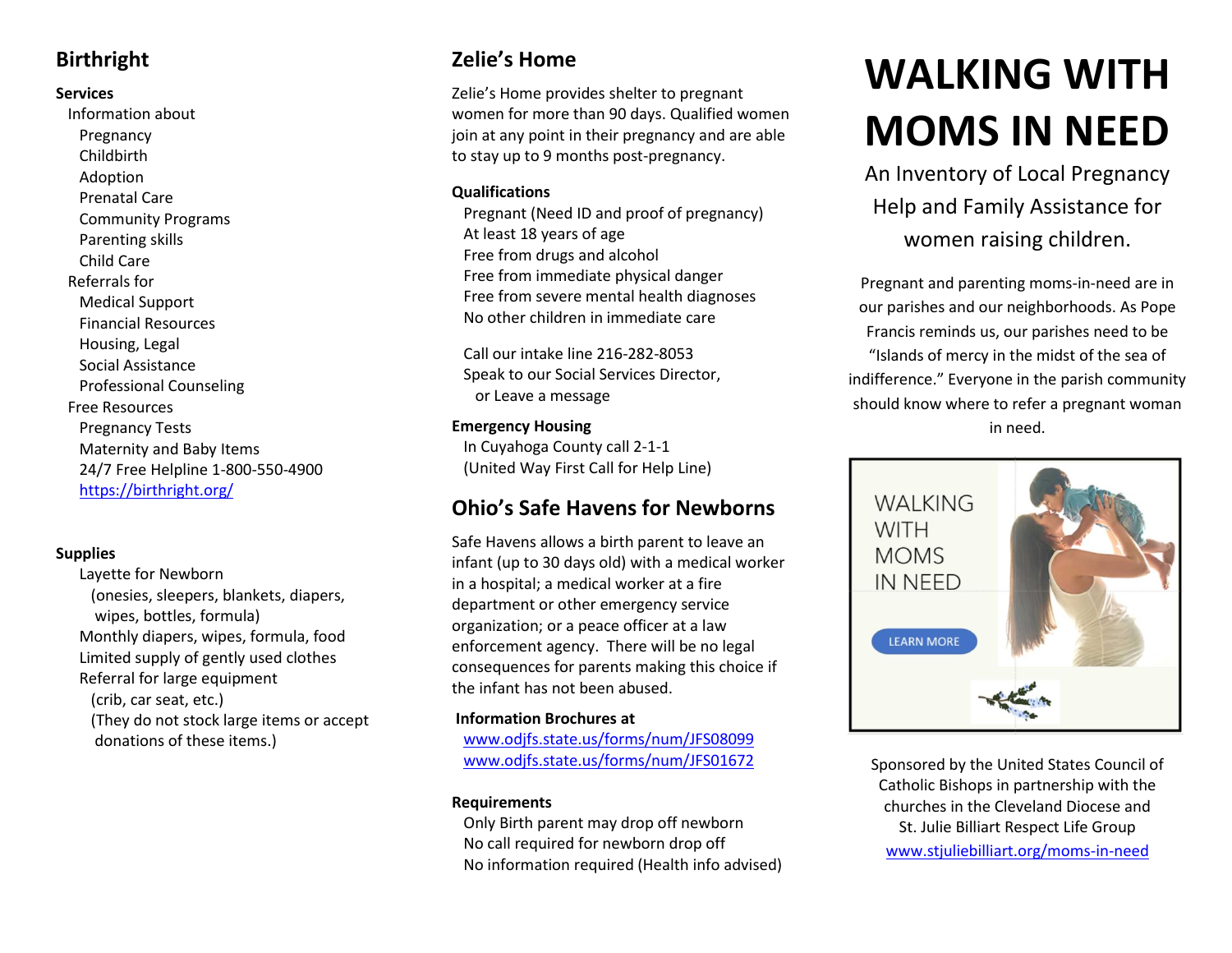# **Birthright**

## **Services**

 Information about Pregnancy Childbirth Adoption Prenatal Care Community Programs Parenting skills Child Care Referrals for Medical Support Financial Resources Housing, Legal Social Assistance Professional Counseling Free Resources Pregnancy Tests Maternity and Baby Items 24/7 Free Helpline 1-800-550-4900 <https://birthright.org/>

# **Supplies**

 Layette for Newborn (onesies, sleepers, blankets, diapers, wipes, bottles, formula) Monthly diapers, wipes, formula, food Limited supply of gently used clothes Referral for large equipment (crib, car seat, etc.) (They do not stock large items or accept donations of these items.)

# **Zelie's Home**

Zelie's Home provides shelter to pregnant women for more than 90 days. Qualified women join at any point in their pregnancy and are able to stay up to 9 months post-pregnancy.

## **Qualifications**

 Pregnant (Need ID and proof of pregnancy) At least 18 years of age Free from drugs and alcohol Free from immediate physical danger Free from severe mental health diagnoses No other children in immediate care

 Call our intake line 216-282-8053 Speak to our Social Services Director, or Leave a message

## **Emergency Housing**

 In Cuyahoga County call 2-1-1 (United Way First Call for Help Line)

# **Ohio's Safe Havens for Newborns**

Safe Havens allows a birth parent to leave an infant (up to 30 days old) with a medical worker in a hospital; a medical worker at a fire department or other emergency service organization; or a peace officer at a law enforcement agency. There will be no legal consequences for parents making this choice if the infant has not been abused.

## **Information Brochures at**

[www.odjfs.state.us/forms/num/JFS08099](http://www.odjfs.state.us/forms/num/JFS08099) [www.odjfs.state.us/forms/num/JFS01672](http://www.odjfs.state.us/forms/num/JFS01672)

# **Requirements**

Only Birth parent may drop off newborn No call required for newborn drop off No information required (Health info advised)

# **WALKING WITH MOMS IN NEED**

An Inventory of Local Pregnancy Help and Family Assistance for women raising children.

Pregnant and parenting moms-in-need are in our parishes and our neighborhoods. As Pope Francis reminds us, our parishes need to be "Islands of mercy in the midst of the sea of indifference." Everyone in the parish community should know where to refer a pregnant woman in need.



Sponsored by the United States Council of Catholic Bishops in partnership with the churches in the Cleveland Diocese and St. Julie Billiart Respect Life Group [www.stjuliebilliart.org/moms-in-need](https://www.stjuliebilliart.org/moms-in-need)